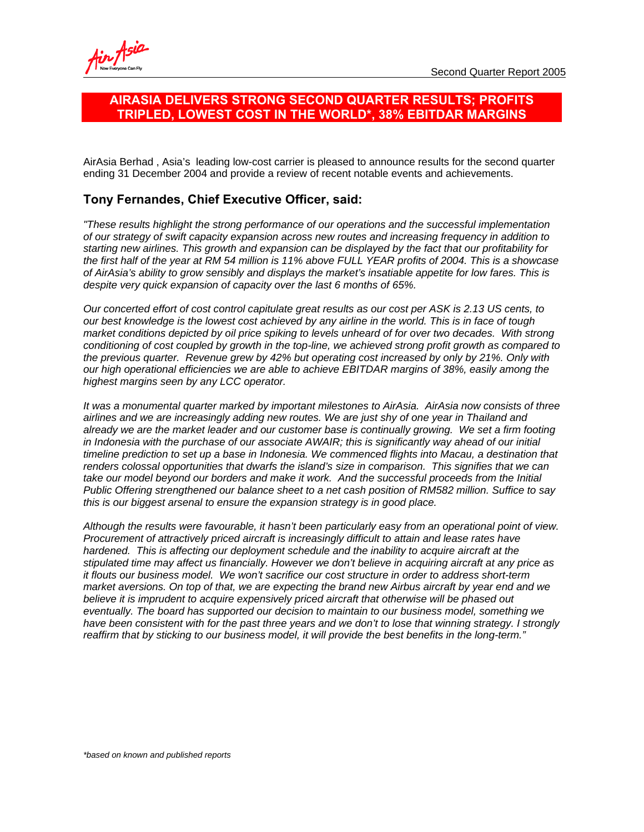# **AIRASIA DELIVERS STRONG SECOND QUARTER RESULTS; PROFITS TRIPLED, LOWEST COST IN THE WORLD\*, 38% EBITDAR MARGINS**

AirAsia Berhad , Asia's leading low-cost carrier is pleased to announce results for the second quarter ending 31 December 2004 and provide a review of recent notable events and achievements.

# **Tony Fernandes, Chief Executive Officer, said:**

*"These results highlight the strong performance of our operations and the successful implementation of our strategy of swift capacity expansion across new routes and increasing frequency in addition to starting new airlines. This growth and expansion can be displayed by the fact that our profitability for the first half of the year at RM 54 million is 11% above FULL YEAR profits of 2004. This is a showcase of AirAsia's ability to grow sensibly and displays the market's insatiable appetite for low fares. This is despite very quick expansion of capacity over the last 6 months of 65%.* 

*Our concerted effort of cost control capitulate great results as our cost per ASK is 2.13 US cents, to our best knowledge is the lowest cost achieved by any airline in the world. This is in face of tough market conditions depicted by oil price spiking to levels unheard of for over two decades. With strong conditioning of cost coupled by growth in the top-line, we achieved strong profit growth as compared to the previous quarter. Revenue grew by 42% but operating cost increased by only by 21%. Only with our high operational efficiencies we are able to achieve EBITDAR margins of 38%, easily among the highest margins seen by any LCC operator.* 

*It was a monumental quarter marked by important milestones to AirAsia. AirAsia now consists of three airlines and we are increasingly adding new routes. We are just shy of one year in Thailand and already we are the market leader and our customer base is continually growing. We set a firm footing in Indonesia with the purchase of our associate AWAIR; this is significantly way ahead of our initial timeline prediction to set up a base in Indonesia. We commenced flights into Macau, a destination that renders colossal opportunities that dwarfs the island's size in comparison. This signifies that we can*  take our model beyond our borders and make it work. And the successful proceeds from the Initial *Public Offering strengthened our balance sheet to a net cash position of RM582 million. Suffice to say this is our biggest arsenal to ensure the expansion strategy is in good place.* 

*Although the results were favourable, it hasn't been particularly easy from an operational point of view. Procurement of attractively priced aircraft is increasingly difficult to attain and lease rates have*  hardened. This is affecting our deployment schedule and the inability to acquire aircraft at the *stipulated time may affect us financially. However we don't believe in acquiring aircraft at any price as it flouts our business model. We won't sacrifice our cost structure in order to address short-term market aversions. On top of that, we are expecting the brand new Airbus aircraft by year end and we believe it is imprudent to acquire expensively priced aircraft that otherwise will be phased out eventually. The board has supported our decision to maintain to our business model, something we*  have been consistent with for the past three years and we don't to lose that winning strategy. I strongly *reaffirm that by sticking to our business model, it will provide the best benefits in the long-term."*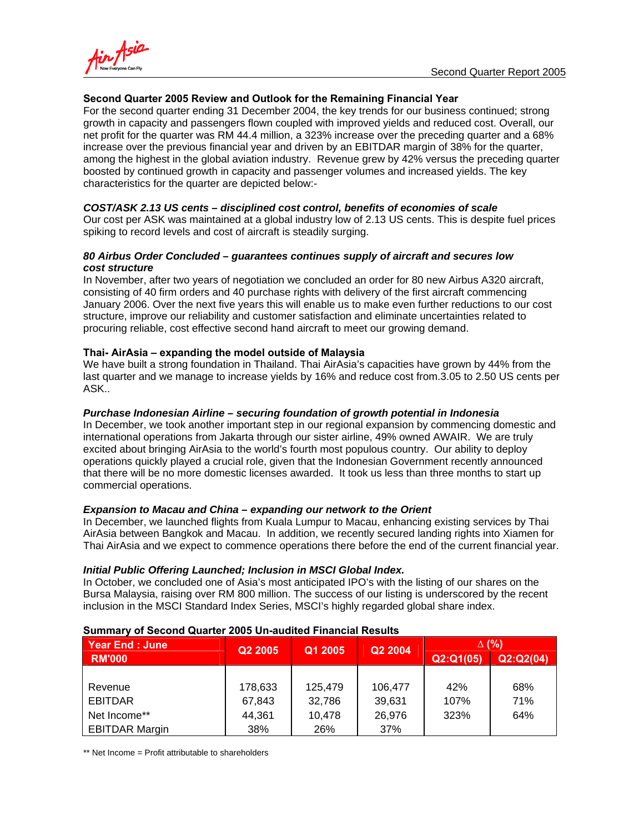



# **Second Quarter 2005 Review and Outlook for the Remaining Financial Year**

For the second quarter ending 31 December 2004, the key trends for our business continued; strong growth in capacity and passengers flown coupled with improved yields and reduced cost. Overall, our net profit for the quarter was RM 44.4 million, a 323% increase over the preceding quarter and a 68% increase over the previous financial year and driven by an EBITDAR margin of 38% for the quarter, among the highest in the global aviation industry. Revenue grew by 42% versus the preceding quarter boosted by continued growth in capacity and passenger volumes and increased yields. The key characteristics for the quarter are depicted below:-

## *COST/ASK 2.13 US cents – disciplined cost control, benefits of economies of scale*

Our cost per ASK was maintained at a global industry low of 2.13 US cents. This is despite fuel prices spiking to record levels and cost of aircraft is steadily surging.

## *80 Airbus Order Concluded – guarantees continues supply of aircraft and secures low cost structure*

In November, after two years of negotiation we concluded an order for 80 new Airbus A320 aircraft, consisting of 40 firm orders and 40 purchase rights with delivery of the first aircraft commencing January 2006. Over the next five years this will enable us to make even further reductions to our cost structure, improve our reliability and customer satisfaction and eliminate uncertainties related to procuring reliable, cost effective second hand aircraft to meet our growing demand.

# **Thai- AirAsia – expanding the model outside of Malaysia**

We have built a strong foundation in Thailand. Thai AirAsia's capacities have grown by 44% from the last quarter and we manage to increase yields by 16% and reduce cost from.3.05 to 2.50 US cents per ASK..

#### *Purchase Indonesian Airline – securing foundation of growth potential in Indonesia*

In December, we took another important step in our regional expansion by commencing domestic and international operations from Jakarta through our sister airline, 49% owned AWAIR. We are truly excited about bringing AirAsia to the world's fourth most populous country. Our ability to deploy operations quickly played a crucial role, given that the Indonesian Government recently announced that there will be no more domestic licenses awarded. It took us less than three months to start up commercial operations.

#### *Expansion to Macau and China – expanding our network to the Orient*

In December, we launched flights from Kuala Lumpur to Macau, enhancing existing services by Thai AirAsia between Bangkok and Macau. In addition, we recently secured landing rights into Xiamen for Thai AirAsia and we expect to commence operations there before the end of the current financial year.

# *Initial Public Offering Launched; Inclusion in MSCI Global Index.*

In October, we concluded one of Asia's most anticipated IPO's with the listing of our shares on the Bursa Malaysia, raising over RM 800 million. The success of our listing is underscored by the recent inclusion in the MSCI Standard Index Series, MSCI's highly regarded global share index.

| <b>Year End: June</b> | Q <sub>2</sub> 2005 | Q1 2005 | Q2 2004 | $\Delta$ (%) |           |
|-----------------------|---------------------|---------|---------|--------------|-----------|
| <b>RM'000</b>         |                     |         |         | Q2:Q1(05)    | Q2:Q2(04) |
|                       |                     |         |         |              |           |
| Revenue               | 178,633             | 125,479 | 106.477 | 42%          | 68%       |
| <b>EBITDAR</b>        | 67,843              | 32,786  | 39,631  | 107%         | 71%       |
| Net Income**          | 44,361              | 10,478  | 26,976  | 323%         | 64%       |
| <b>EBITDAR Margin</b> | 38%                 | 26%     | 37%     |              |           |

#### **Summary of Second Quarter 2005 Un-audited Financial Results**

\*\* Net Income = Profit attributable to shareholders